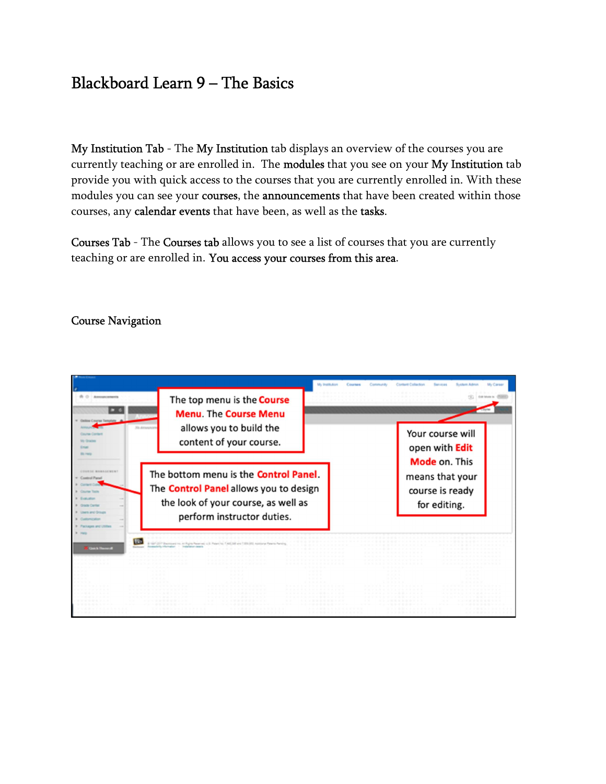## Blackboard Learn 9 – The Basics

My Institution Tab - The My Institution tab displays an overview of the courses you are currently teaching or are enrolled in. The modules that you see on your My Institution tab provide you with quick access to the courses that you are currently enrolled in. With these modules you can see your courses, the announcements that have been created within those courses, any calendar events that have been, as well as the tasks.

Courses Tab - The Courses tab allows you to see a list of courses that you are currently teaching or are enrolled in. You access your courses from this area.

## Course Navigation

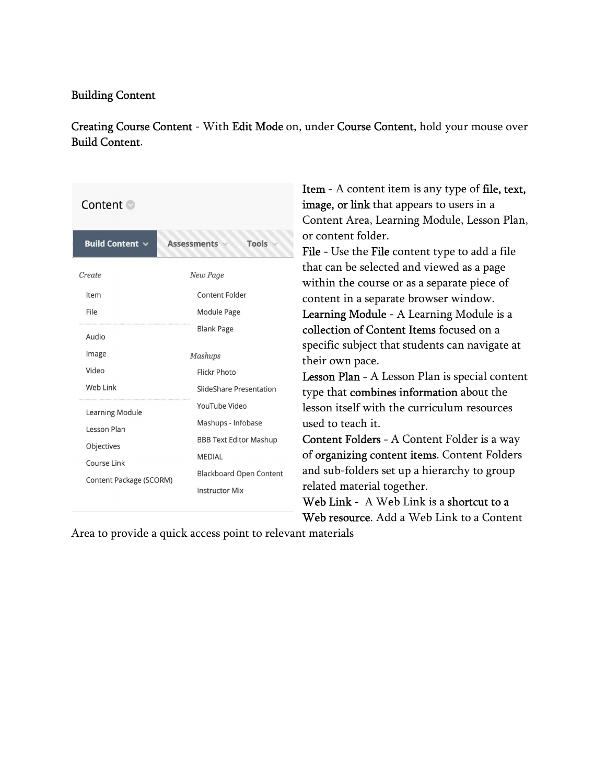## Building Content

Creating Course Content - With Edit Mode on, under Course Content, hold your mouse over Build Content.

| Content ©                              |                                    |  |  |  |  |
|----------------------------------------|------------------------------------|--|--|--|--|
| <b>Build Content <math>\vee</math></b> | <b>Tools</b><br><b>Assessments</b> |  |  |  |  |
| Create                                 | New Page                           |  |  |  |  |
| Item                                   | <b>Content Folder</b>              |  |  |  |  |
| File                                   | Module Page                        |  |  |  |  |
| Audio                                  | <b>Blank Page</b>                  |  |  |  |  |
| Image                                  | <b>Mashups</b>                     |  |  |  |  |
| Video                                  | <b>Flickr Photo</b>                |  |  |  |  |
| Web Link                               | SlideShare Presentation            |  |  |  |  |
| <b>Learning Module</b>                 | YouTube Video                      |  |  |  |  |
| Lesson Plan                            | Mashups - Infobase                 |  |  |  |  |
| Objectives                             | <b>BBB Text Editor Mashup</b>      |  |  |  |  |
| Course Link                            | <b>MEDIAL</b>                      |  |  |  |  |
|                                        | <b>Blackboard Open Content</b>     |  |  |  |  |
| Content Package (SCORM)                | <b>Instructor Mix</b>              |  |  |  |  |

**Item** - A content item is any type of **file**, text, image, or link that appears to users in a Content Area, Learning Module, Lesson Plan, or content folder.

File - Use the File content type to add a file that can be selected and viewed as a page within the course or as a separate piece of content in a separate browser window. Learning Module - A Learning Module is a collection of Content Items focused on a

specific subject that students can navigate at their own pace.

Lesson Plan - A Lesson Plan is special content type that combines information about the lesson itself with the curriculum resources used to teach it.

Content Folders - A Content Folder is a way of organizing content items. Content Folders and sub-folders set up a hierarchy to group related material together.

Web Link - A Web Link is a shortcut to a Web resource. Add a Web Link to a Content

Area to provide a quick access point to relevant materials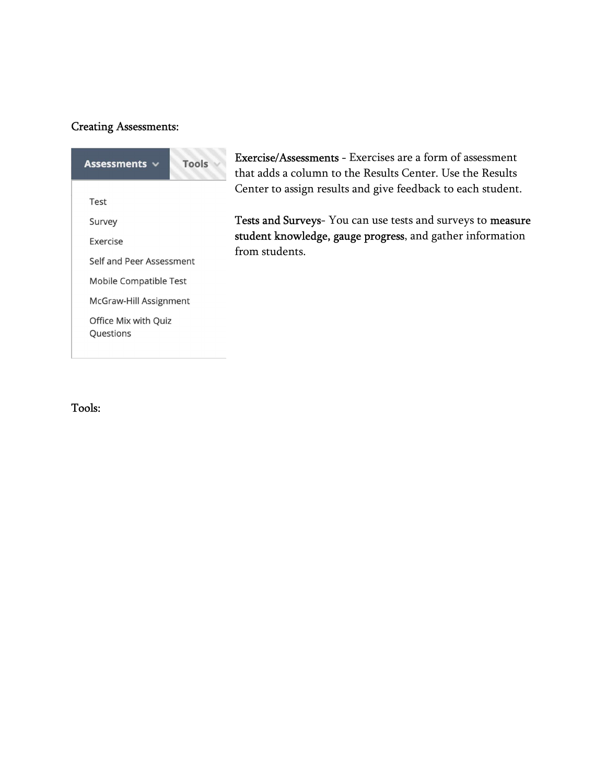## Creating Assessments:



Exercise/Assessments - Exercises are a form of assessment that adds a column to the Results Center. Use the Results Center to assign results and give feedback to each student.

Tests and Surveys- You can use tests and surveys to measure student knowledge, gauge progress, and gather information from students.

Tools: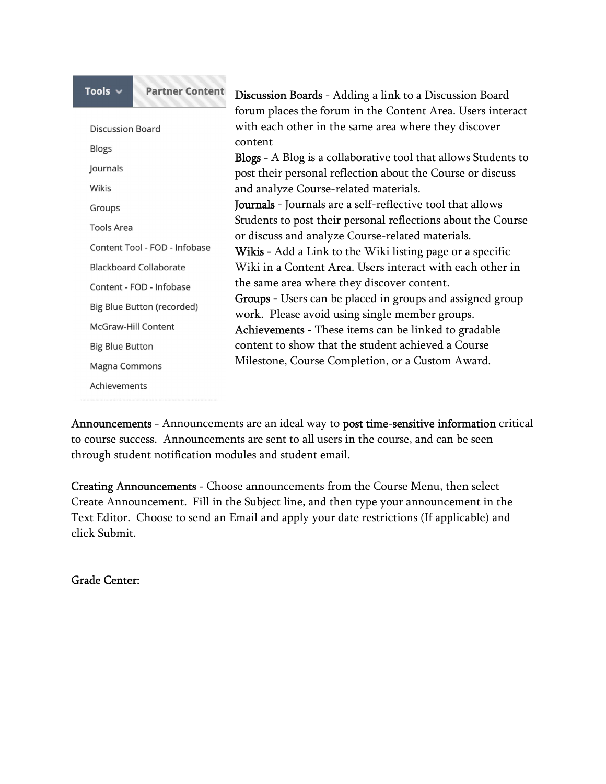| Tools $\vee$                  | <b>Partner Content</b> | <b>Discussion Boards</b> - Adding a link to a Discussion Board        |  |  |
|-------------------------------|------------------------|-----------------------------------------------------------------------|--|--|
|                               |                        | forum places the forum in the Content Area. Users interact            |  |  |
| Discussion Board              |                        | with each other in the same area where they discover                  |  |  |
| <b>Blogs</b>                  |                        | content                                                               |  |  |
|                               |                        | <b>Blogs</b> - A Blog is a collaborative tool that allows Students to |  |  |
| Journals                      |                        | post their personal reflection about the Course or discuss            |  |  |
| Wikis                         |                        | and analyze Course-related materials.                                 |  |  |
| Groups                        |                        | <b>Journals</b> - Journals are a self-reflective tool that allows     |  |  |
| <b>Tools Area</b>             |                        | Students to post their personal reflections about the Course          |  |  |
|                               |                        | or discuss and analyze Course-related materials.                      |  |  |
| Content Tool - FOD - Infobase |                        | Wikis - Add a Link to the Wiki listing page or a specific             |  |  |
| <b>Blackboard Collaborate</b> |                        | Wiki in a Content Area. Users interact with each other in             |  |  |
| Content - FOD - Infobase      |                        | the same area where they discover content.                            |  |  |
|                               |                        | <b>Groups</b> - Users can be placed in groups and assigned group      |  |  |
| Big Blue Button (recorded)    |                        | work. Please avoid using single member groups.                        |  |  |
| <b>McGraw-Hill Content</b>    |                        | Achievements - These items can be linked to gradable                  |  |  |
| <b>Big Blue Button</b>        |                        | content to show that the student achieved a Course                    |  |  |
| <b>Magna Commons</b>          |                        | Milestone, Course Completion, or a Custom Award.                      |  |  |
| Achievements                  |                        |                                                                       |  |  |

Announcements - Announcements are an ideal way to post time-sensitive information critical to course success. Announcements are sent to all users in the course, and can be seen through student notification modules and student email.

Creating Announcements - Choose announcements from the Course Menu, then select Create Announcement. Fill in the Subject line, and then type your announcement in the Text Editor. Choose to send an Email and apply your date restrictions (If applicable) and click Submit.

Grade Center: